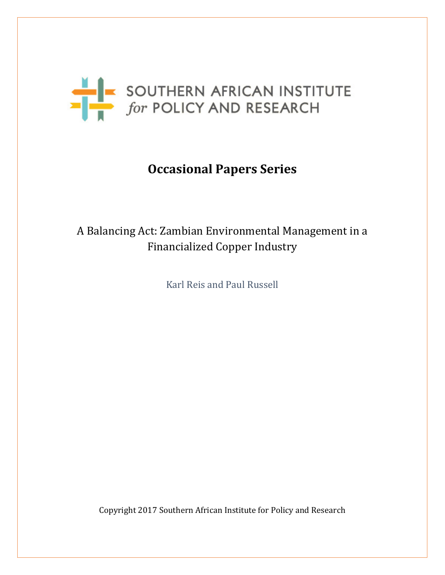

# **Occasional Papers Series**

# A Balancing Act: Zambian Environmental Management in a Financialized Copper Industry

Karl Reis and Paul Russell

Copyright 2017 Southern African Institute for Policy and Research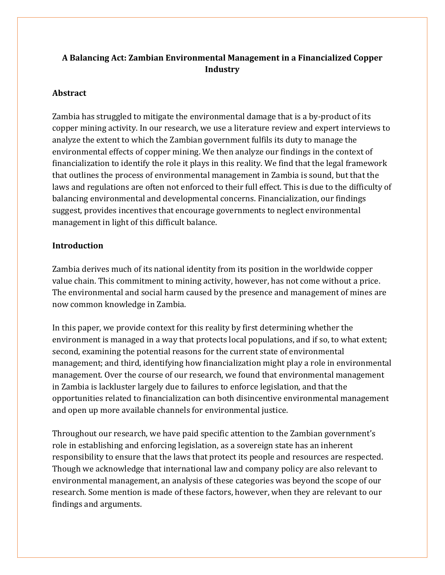# **A Balancing Act: Zambian Environmental Management in a Financialized Copper Industry**

# **Abstract**

Zambia has struggled to mitigate the environmental damage that is a by-product of its copper mining activity. In our research, we use a literature review and expert interviews to analyze the extent to which the Zambian government fulfils its duty to manage the environmental effects of copper mining. We then analyze our findings in the context of financialization to identify the role it plays in this reality. We find that the legal framework that outlines the process of environmental management in Zambia is sound, but that the laws and regulations are often not enforced to their full effect. This is due to the difficulty of balancing environmental and developmental concerns. Financialization, our findings suggest, provides incentives that encourage governments to neglect environmental management in light of this difficult balance.

# **Introduction**

Zambia derives much of its national identity from its position in the worldwide copper value chain. This commitment to mining activity, however, has not come without a price. The environmental and social harm caused by the presence and management of mines are now common knowledge in Zambia.

In this paper, we provide context for this reality by first determining whether the environment is managed in a way that protects local populations, and if so, to what extent; second, examining the potential reasons for the current state of environmental management; and third, identifying how financialization might play a role in environmental management. Over the course of our research, we found that environmental management in Zambia is lackluster largely due to failures to enforce legislation, and that the opportunities related to financialization can both disincentive environmental management and open up more available channels for environmental justice.

Throughout our research, we have paid specific attention to the Zambian government's role in establishing and enforcing legislation, as a sovereign state has an inherent responsibility to ensure that the laws that protect its people and resources are respected. Though we acknowledge that international law and company policy are also relevant to environmental management, an analysis of these categories was beyond the scope of our research. Some mention is made of these factors, however, when they are relevant to our findings and arguments.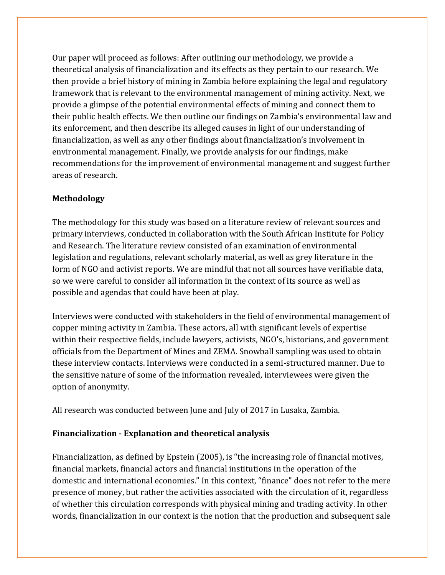Our paper will proceed as follows: After outlining our methodology, we provide a theoretical analysis of financialization and its effects as they pertain to our research. We then provide a brief history of mining in Zambia before explaining the legal and regulatory framework that is relevant to the environmental management of mining activity. Next, we provide a glimpse of the potential environmental effects of mining and connect them to their public health effects. We then outline our findings on Zambia's environmental law and its enforcement, and then describe its alleged causes in light of our understanding of financialization, as well as any other findings about financialization's involvement in environmental management. Finally, we provide analysis for our findings, make recommendations for the improvement of environmental management and suggest further areas of research.

# **Methodology**

The methodology for this study was based on a literature review of relevant sources and primary interviews, conducted in collaboration with the South African Institute for Policy and Research. The literature review consisted of an examination of environmental legislation and regulations, relevant scholarly material, as well as grey literature in the form of NGO and activist reports. We are mindful that not all sources have verifiable data, so we were careful to consider all information in the context of its source as well as possible and agendas that could have been at play.

Interviews were conducted with stakeholders in the field of environmental management of copper mining activity in Zambia. These actors, all with significant levels of expertise within their respective fields, include lawyers, activists, NGO's, historians, and government officials from the Department of Mines and ZEMA. Snowball sampling was used to obtain these interview contacts. Interviews were conducted in a semi-structured manner. Due to the sensitive nature of some of the information revealed, interviewees were given the option of anonymity.

All research was conducted between June and July of 2017 in Lusaka, Zambia.

# **Financialization - Explanation and theoretical analysis**

Financialization, as defined by Epstein (2005), is "the increasing role of financial motives, financial markets, financial actors and financial institutions in the operation of the domestic and international economies." In this context, "finance" does not refer to the mere presence of money, but rather the activities associated with the circulation of it, regardless of whether this circulation corresponds with physical mining and trading activity. In other words, financialization in our context is the notion that the production and subsequent sale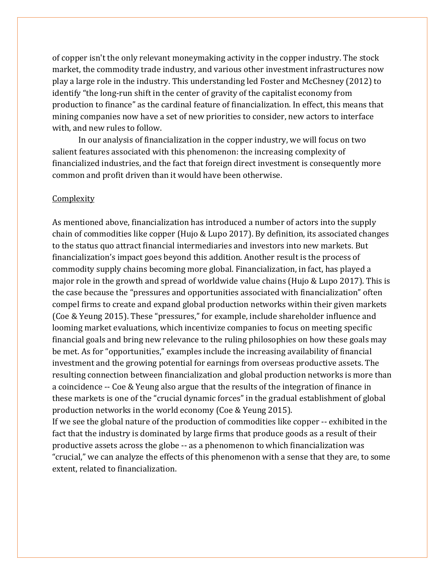of copper isn't the only relevant moneymaking activity in the copper industry. The stock market, the commodity trade industry, and various other investment infrastructures now play a large role in the industry. This understanding led Foster and McChesney (2012) to identify "the long-run shift in the center of gravity of the capitalist economy from production to finance" as the cardinal feature of financialization. In effect, this means that mining companies now have a set of new priorities to consider, new actors to interface with, and new rules to follow.

In our analysis of financialization in the copper industry, we will focus on two salient features associated with this phenomenon: the increasing complexity of financialized industries, and the fact that foreign direct investment is consequently more common and profit driven than it would have been otherwise.

#### Complexity

As mentioned above, financialization has introduced a number of actors into the supply chain of commodities like copper (Hujo & Lupo 2017). By definition, its associated changes to the status quo attract financial intermediaries and investors into new markets. But financialization's impact goes beyond this addition. Another result is the process of commodity supply chains becoming more global. Financialization, in fact, has played a major role in the growth and spread of worldwide value chains (Hujo & Lupo 2017). This is the case because the "pressures and opportunities associated with financialization" often compel firms to create and expand global production networks within their given markets (Coe & Yeung 2015). These "pressures," for example, include shareholder influence and looming market evaluations, which incentivize companies to focus on meeting specific financial goals and bring new relevance to the ruling philosophies on how these goals may be met. As for "opportunities," examples include the increasing availability of financial investment and the growing potential for earnings from overseas productive assets. The resulting connection between financialization and global production networks is more than a coincidence -- Coe & Yeung also argue that the results of the integration of finance in these markets is one of the "crucial dynamic forces" in the gradual establishment of global production networks in the world economy (Coe & Yeung 2015).

If we see the global nature of the production of commodities like copper -- exhibited in the fact that the industry is dominated by large firms that produce goods as a result of their productive assets across the globe -- as a phenomenon to which financialization was "crucial," we can analyze the effects of this phenomenon with a sense that they are, to some extent, related to financialization.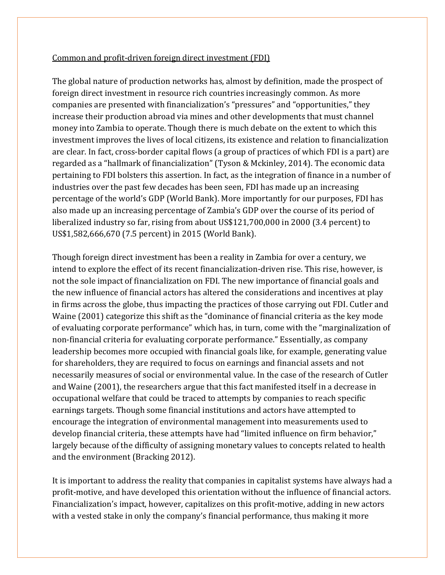#### Common and profit-driven foreign direct investment (FDI)

The global nature of production networks has, almost by definition, made the prospect of foreign direct investment in resource rich countries increasingly common. As more companies are presented with financialization's "pressures" and "opportunities," they increase their production abroad via mines and other developments that must channel money into Zambia to operate. Though there is much debate on the extent to which this investment improves the lives of local citizens, its existence and relation to financialization are clear. In fact, cross-border capital flows (a group of practices of which FDI is a part) are regarded as a "hallmark of financialization" (Tyson & Mckinley, 2014). The economic data pertaining to FDI bolsters this assertion. In fact, as the integration of finance in a number of industries over the past few decades has been seen, FDI has made up an increasing percentage of the world's GDP (World Bank). More importantly for our purposes, FDI has also made up an increasing percentage of Zambia's GDP over the course of its period of liberalized industry so far, rising from about US\$121,700,000 in 2000 (3.4 percent) to US\$1,582,666,670 (7.5 percent) in 2015 (World Bank).

Though foreign direct investment has been a reality in Zambia for over a century, we intend to explore the effect of its recent financialization-driven rise. This rise, however, is not the sole impact of financialization on FDI. The new importance of financial goals and the new influence of financial actors has altered the considerations and incentives at play in firms across the globe, thus impacting the practices of those carrying out FDI. Cutler and Waine (2001) categorize this shift as the "dominance of financial criteria as the key mode of evaluating corporate performance" which has, in turn, come with the "marginalization of non-financial criteria for evaluating corporate performance." Essentially, as company leadership becomes more occupied with financial goals like, for example, generating value for shareholders, they are required to focus on earnings and financial assets and not necessarily measures of social or environmental value. In the case of the research of Cutler and Waine (2001), the researchers argue that this fact manifested itself in a decrease in occupational welfare that could be traced to attempts by companies to reach specific earnings targets. Though some financial institutions and actors have attempted to encourage the integration of environmental management into measurements used to develop financial criteria, these attempts have had "limited influence on firm behavior," largely because of the difficulty of assigning monetary values to concepts related to health and the environment (Bracking 2012).

It is important to address the reality that companies in capitalist systems have always had a profit-motive, and have developed this orientation without the influence of financial actors. Financialization's impact, however, capitalizes on this profit-motive, adding in new actors with a vested stake in only the company's financial performance, thus making it more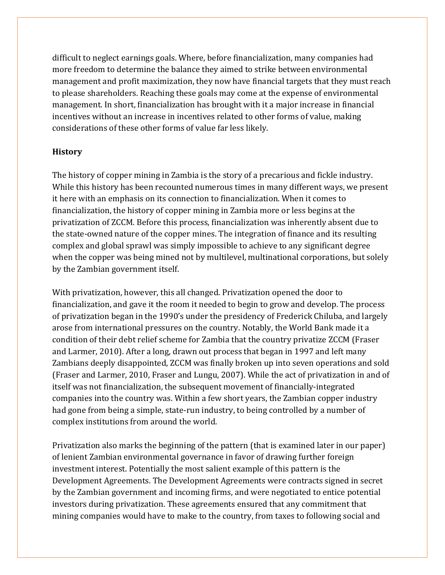difficult to neglect earnings goals. Where, before financialization, many companies had more freedom to determine the balance they aimed to strike between environmental management and profit maximization, they now have financial targets that they must reach to please shareholders. Reaching these goals may come at the expense of environmental management. In short, financialization has brought with it a major increase in financial incentives without an increase in incentives related to other forms of value, making considerations of these other forms of value far less likely.

#### **History**

The history of copper mining in Zambia is the story of a precarious and fickle industry. While this history has been recounted numerous times in many different ways, we present it here with an emphasis on its connection to financialization. When it comes to financialization, the history of copper mining in Zambia more or less begins at the privatization of ZCCM. Before this process, financialization was inherently absent due to the state-owned nature of the copper mines. The integration of finance and its resulting complex and global sprawl was simply impossible to achieve to any significant degree when the copper was being mined not by multilevel, multinational corporations, but solely by the Zambian government itself.

With privatization, however, this all changed. Privatization opened the door to financialization, and gave it the room it needed to begin to grow and develop. The process of privatization began in the 1990's under the presidency of Frederick Chiluba, and largely arose from international pressures on the country. Notably, the World Bank made it a condition of their debt relief scheme for Zambia that the country privatize ZCCM (Fraser and Larmer, 2010). After a long, drawn out process that began in 1997 and left many Zambians deeply disappointed, ZCCM was finally broken up into seven operations and sold (Fraser and Larmer, 2010, Fraser and Lungu, 2007). While the act of privatization in and of itself was not financialization, the subsequent movement of financially-integrated companies into the country was. Within a few short years, the Zambian copper industry had gone from being a simple, state-run industry, to being controlled by a number of complex institutions from around the world.

Privatization also marks the beginning of the pattern (that is examined later in our paper) of lenient Zambian environmental governance in favor of drawing further foreign investment interest. Potentially the most salient example of this pattern is the Development Agreements. The Development Agreements were contracts signed in secret by the Zambian government and incoming firms, and were negotiated to entice potential investors during privatization. These agreements ensured that any commitment that mining companies would have to make to the country, from taxes to following social and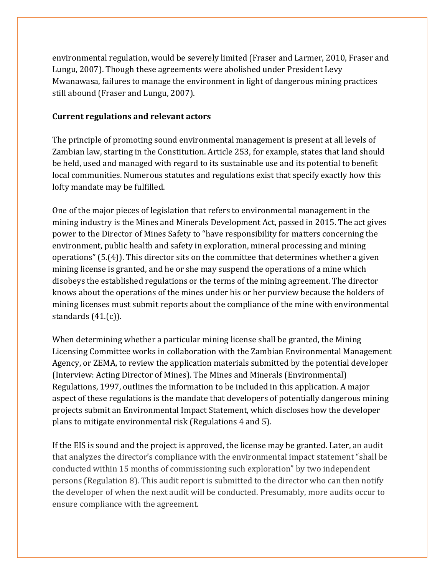environmental regulation, would be severely limited (Fraser and Larmer, 2010, Fraser and Lungu, 2007). Though these agreements were abolished under President Levy Mwanawasa, failures to manage the environment in light of dangerous mining practices still abound (Fraser and Lungu, 2007).

#### **Current regulations and relevant actors**

The principle of promoting sound environmental management is present at all levels of Zambian law, starting in the Constitution. Article 253, for example, states that land should be held, used and managed with regard to its sustainable use and its potential to benefit local communities. Numerous statutes and regulations exist that specify exactly how this lofty mandate may be fulfilled.

One of the major pieces of legislation that refers to environmental management in the mining industry is the Mines and Minerals Development Act, passed in 2015. The act gives power to the Director of Mines Safety to "have responsibility for matters concerning the environment, public health and safety in exploration, mineral processing and mining operations" (5.(4)). This director sits on the committee that determines whether a given mining license is granted, and he or she may suspend the operations of a mine which disobeys the established regulations or the terms of the mining agreement. The director knows about the operations of the mines under his or her purview because the holders of mining licenses must submit reports about the compliance of the mine with environmental standards (41.(c)).

When determining whether a particular mining license shall be granted, the Mining Licensing Committee works in collaboration with the Zambian Environmental Management Agency, or ZEMA, to review the application materials submitted by the potential developer (Interview: Acting Director of Mines). The Mines and Minerals (Environmental) Regulations, 1997, outlines the information to be included in this application. A major aspect of these regulations is the mandate that developers of potentially dangerous mining projects submit an Environmental Impact Statement, which discloses how the developer plans to mitigate environmental risk (Regulations 4 and 5).

If the EIS is sound and the project is approved, the license may be granted. Later, an audit that analyzes the director's compliance with the environmental impact statement "shall be conducted within 15 months of commissioning such exploration" by two independent persons (Regulation 8). This audit report is submitted to the director who can then notify the developer of when the next audit will be conducted. Presumably, more audits occur to ensure compliance with the agreement.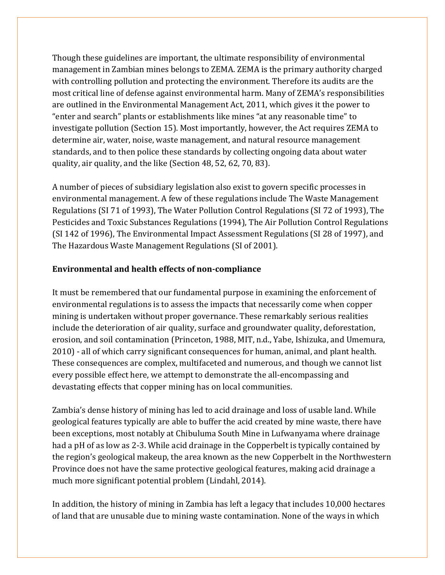Though these guidelines are important, the ultimate responsibility of environmental management in Zambian mines belongs to ZEMA. ZEMA is the primary authority charged with controlling pollution and protecting the environment. Therefore its audits are the most critical line of defense against environmental harm. Many of ZEMA's responsibilities are outlined in the Environmental Management Act, 2011, which gives it the power to "enter and search" plants or establishments like mines "at any reasonable time" to investigate pollution (Section 15). Most importantly, however, the Act requires ZEMA to determine air, water, noise, waste management, and natural resource management standards, and to then police these standards by collecting ongoing data about water quality, air quality, and the like (Section 48, 52, 62, 70, 83).

A number of pieces of subsidiary legislation also exist to govern specific processes in environmental management. A few of these regulations include The Waste Management Regulations (SI 71 of 1993), The Water Pollution Control Regulations (SI 72 of 1993), The Pesticides and Toxic Substances Regulations (1994), The Air Pollution Control Regulations (SI 142 of 1996), The Environmental Impact Assessment Regulations (SI 28 of 1997), and The Hazardous Waste Management Regulations (SI of 2001).

### **Environmental and health effects of non-compliance**

It must be remembered that our fundamental purpose in examining the enforcement of environmental regulations is to assess the impacts that necessarily come when copper mining is undertaken without proper governance. These remarkably serious realities include the deterioration of air quality, surface and groundwater quality, deforestation, erosion, and soil contamination (Princeton, 1988, MIT, n.d., Yabe, Ishizuka, and Umemura, 2010) - all of which carry significant consequences for human, animal, and plant health. These consequences are complex, multifaceted and numerous, and though we cannot list every possible effect here, we attempt to demonstrate the all-encompassing and devastating effects that copper mining has on local communities.

Zambia's dense history of mining has led to acid drainage and loss of usable land. While geological features typically are able to buffer the acid created by mine waste, there have been exceptions, most notably at Chibuluma South Mine in Lufwanyama where drainage had a pH of as low as 2-3. While acid drainage in the Copperbelt is typically contained by the region's geological makeup, the area known as the new Copperbelt in the Northwestern Province does not have the same protective geological features, making acid drainage a much more significant potential problem (Lindahl, 2014).

In addition, the history of mining in Zambia has left a legacy that includes 10,000 hectares of land that are unusable due to mining waste contamination. None of the ways in which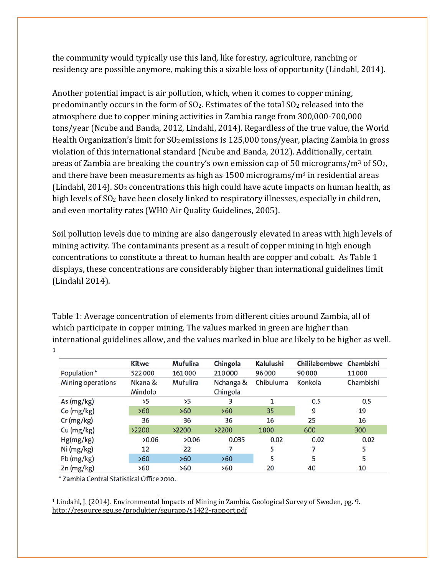the community would typically use this land, like forestry, agriculture, ranching or residency are possible anymore, making this a sizable loss of opportunity (Lindahl, 2014).

Another potential impact is air pollution, which, when it comes to copper mining, predominantly occurs in the form of SO2. Estimates of the total SO2 released into the atmosphere due to copper mining activities in Zambia range from 300,000-700,000 tons/year (Ncube and Banda, 2012, Lindahl, 2014). Regardless of the true value, the World Health Organization's limit for SO<sub>2</sub> emissions is 125,000 tons/year, placing Zambia in gross violation of this international standard (Ncube and Banda, 2012). Additionally, certain areas of Zambia are breaking the country's own emission cap of 50 micrograms/ $m<sup>3</sup>$  of SO<sub>2</sub>, and there have been measurements as high as  $1500$  micrograms/m<sup>3</sup> in residential areas (Lindahl, 2014). SO2 concentrations this high could have acute impacts on human health, as high levels of SO<sub>2</sub> have been closely linked to respiratory illnesses, especially in children, and even mortality rates (WHO Air Quality Guidelines, 2005).

Soil pollution levels due to mining are also dangerously elevated in areas with high levels of mining activity. The contaminants present as a result of copper mining in high enough concentrations to constitute a threat to human health are copper and cobalt. As Table 1 displays, these concentrations are considerably higher than international guidelines limit (Lindahl 2014).

Table 1: Average concentration of elements from different cities around Zambia, all of which participate in copper mining. The values marked in green are higher than [in](#page-8-0)ternational guidelines allow, and the values marked in blue are likely to be higher as well. 1

|                   | <b>Kitwe</b> | Mufulira | Chingola  | Kalulushi | Chililabombwe Chambishi |           |
|-------------------|--------------|----------|-----------|-----------|-------------------------|-----------|
| Population*       | 522000       | 161000   | 210000    | 96000     | 90000                   | 11000     |
| Mining operations | Nkana &      | Mufulira | Nchanga & | Chibuluma | Konkola                 | Chambishi |
|                   | Mindolo      |          | Chingola  |           |                         |           |
| As (mg/kg)        | >5           | >5       | з         | 1         | 0.5                     | 0.5       |
| Co (mg/kg)        | >60          | >60      | >60       | 35        | 9                       | 19        |
| $Cr$ (mg/kg)      | 36           | 36       | 36        | 16        | 25                      | 16        |
| Cu (mg/kg)        | >2200        | >2200    | >2200     | 1800      | 600                     | 300       |
| Hg(mg/kg)         | >0.06        | >0.06    | 0.035     | 0.02      | 0.02                    | 0.02      |
| Ni (mg/kg)        | 12           | 22       |           | 5         | 7                       | 5         |
| Pb (mg/kg)        | >60          | >60      | >60       | 5         | 5                       | 5         |
| $Zn$ (mg/kg)      | >60          | >60      | >60       | 20        | 40                      | 10        |

\* Zambia Central Statistical Office 2010.

<span id="page-8-0"></span> $\overline{a}$ <sup>1</sup> Lindahl, J. (2014). Environmental Impacts of Mining in Zambia. Geological Survey of Sweden, pg. 9. http://resource.sgu.se/produkter/sgurapp/s1422-rapport.pdf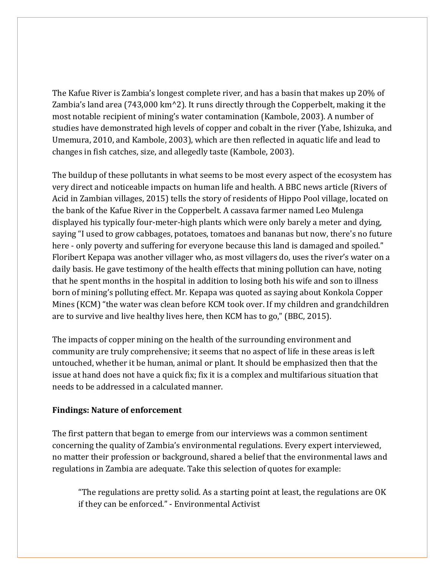The Kafue River is Zambia's longest complete river, and has a basin that makes up 20% of Zambia's land area (743,000 km^2). It runs directly through the Copperbelt, making it the most notable recipient of mining's water contamination (Kambole, 2003). A number of studies have demonstrated high levels of copper and cobalt in the river (Yabe, Ishizuka, and Umemura, 2010, and Kambole, 2003), which are then reflected in aquatic life and lead to changes in fish catches, size, and allegedly taste (Kambole, 2003).

The buildup of these pollutants in what seems to be most every aspect of the ecosystem has very direct and noticeable impacts on human life and health. A BBC news article (Rivers of Acid in Zambian villages, 2015) tells the story of residents of Hippo Pool village, located on the bank of the Kafue River in the Copperbelt. A cassava farmer named Leo Mulenga displayed his typically four-meter-high plants which were only barely a meter and dying, saying "I used to grow cabbages, potatoes, tomatoes and bananas but now, there's no future here - only poverty and suffering for everyone because this land is damaged and spoiled." Floribert Kepapa was another villager who, as most villagers do, uses the river's water on a daily basis. He gave testimony of the health effects that mining pollution can have, noting that he spent months in the hospital in addition to losing both his wife and son to illness born of mining's polluting effect. Mr. Kepapa was quoted as saying about Konkola Copper Mines (KCM) "the water was clean before KCM took over. If my children and grandchildren are to survive and live healthy lives here, then KCM has to go," (BBC, 2015).

The impacts of copper mining on the health of the surrounding environment and community are truly comprehensive; it seems that no aspect of life in these areas is left untouched, whether it be human, animal or plant. It should be emphasized then that the issue at hand does not have a quick fix; fix it is a complex and multifarious situation that needs to be addressed in a calculated manner.

#### **Findings: Nature of enforcement**

The first pattern that began to emerge from our interviews was a common sentiment concerning the quality of Zambia's environmental regulations. Every expert interviewed, no matter their profession or background, shared a belief that the environmental laws and regulations in Zambia are adequate. Take this selection of quotes for example:

"The regulations are pretty solid. As a starting point at least, the regulations are OK if they can be enforced." - Environmental Activist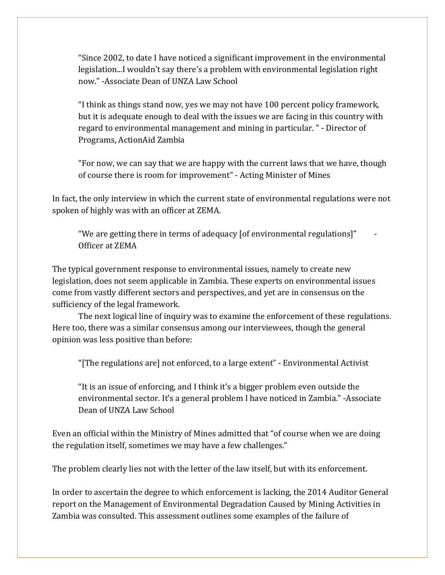"Since 2002, to date I have noticed a significant improvement in the environmental legislation...I wouldn't say there's a problem with environmental legislation right now." -Associate Dean of UNZA Law School

"I think as things stand now, yes we may not have 100 percent policy framework, but it is adequate enough to deal with the issues we are facing in this country with regard to environmental management and mining in particular. " - Director of Programs, ActionAid Zambia

"For now, we can say that we are happy with the current laws that we have, though of course there is room for improvement" - Acting Minister of Mines

In fact, the only interview in which the current state of environmental regulations were not spoken of highly was with an officer at ZEMA.

"We are getting there in terms of adequacy [of environmental regulations]" - Officer at ZEMA

The typical government response to environmental issues, namely to create new legislation, does not seem applicable in Zambia. These experts on environmental issues come from vastly different sectors and perspectives, and yet are in consensus on the sufficiency of the legal framework.

The next logical line of inquiry was to examine the enforcement of these regulations. Here too, there was a similar consensus among our interviewees, though the general opinion was less positive than before:

"[The regulations are] not enforced, to a large extent" - Environmental Activist

"It is an issue of enforcing, and I think it's a bigger problem even outside the environmental sector. It's a general problem I have noticed in Zambia." -Associate Dean of UNZA Law School

Even an official within the Ministry of Mines admitted that "of course when we are doing the regulation itself, sometimes we may have a few challenges."

The problem clearly lies not with the letter of the law itself, but with its enforcement.

In order to ascertain the degree to which enforcement is lacking, the 2014 Auditor General report on the Management of Environmental Degradation Caused by Mining Activities in Zambia was consulted. This assessment outlines some examples of the failure of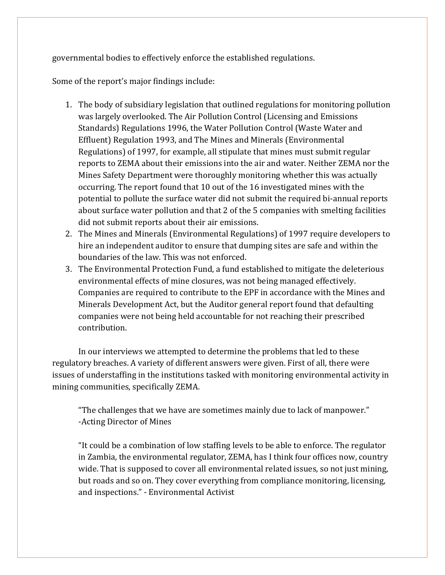governmental bodies to effectively enforce the established regulations.

Some of the report's major findings include:

- 1. The body of subsidiary legislation that outlined regulations for monitoring pollution was largely overlooked. The Air Pollution Control (Licensing and Emissions Standards) Regulations 1996, the Water Pollution Control (Waste Water and Effluent) Regulation 1993, and The Mines and Minerals (Environmental Regulations) of 1997, for example, all stipulate that mines must submit regular reports to ZEMA about their emissions into the air and water. Neither ZEMA nor the Mines Safety Department were thoroughly monitoring whether this was actually occurring. The report found that 10 out of the 16 investigated mines with the potential to pollute the surface water did not submit the required bi-annual reports about surface water pollution and that 2 of the 5 companies with smelting facilities did not submit reports about their air emissions.
- 2. The Mines and Minerals (Environmental Regulations) of 1997 require developers to hire an independent auditor to ensure that dumping sites are safe and within the boundaries of the law. This was not enforced.
- 3. The Environmental Protection Fund, a fund established to mitigate the deleterious environmental effects of mine closures, was not being managed effectively. Companies are required to contribute to the EPF in accordance with the Mines and Minerals Development Act, but the Auditor general report found that defaulting companies were not being held accountable for not reaching their prescribed contribution.

In our interviews we attempted to determine the problems that led to these regulatory breaches. A variety of different answers were given. First of all, there were issues of understaffing in the institutions tasked with monitoring environmental activity in mining communities, specifically ZEMA.

"The challenges that we have are sometimes mainly due to lack of manpower." -Acting Director of Mines

"It could be a combination of low staffing levels to be able to enforce. The regulator in Zambia, the environmental regulator, ZEMA, has I think four offices now, country wide. That is supposed to cover all environmental related issues, so not just mining, but roads and so on. They cover everything from compliance monitoring, licensing, and inspections." - Environmental Activist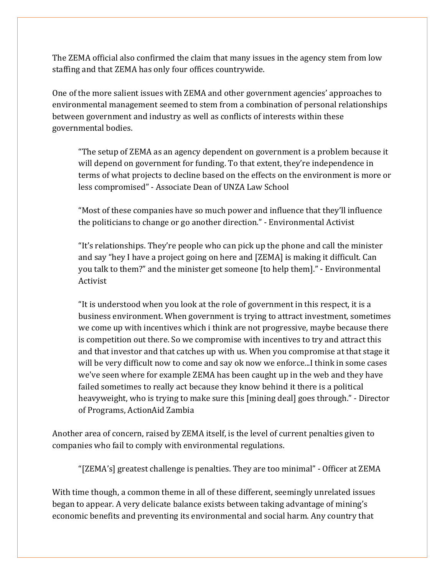The ZEMA official also confirmed the claim that many issues in the agency stem from low staffing and that ZEMA has only four offices countrywide.

One of the more salient issues with ZEMA and other government agencies' approaches to environmental management seemed to stem from a combination of personal relationships between government and industry as well as conflicts of interests within these governmental bodies.

"The setup of ZEMA as an agency dependent on government is a problem because it will depend on government for funding. To that extent, they're independence in terms of what projects to decline based on the effects on the environment is more or less compromised" - Associate Dean of UNZA Law School

"Most of these companies have so much power and influence that they'll influence the politicians to change or go another direction." - Environmental Activist

"It's relationships. They're people who can pick up the phone and call the minister and say "hey I have a project going on here and [ZEMA] is making it difficult. Can you talk to them?" and the minister get someone [to help them]." - Environmental Activist

"It is understood when you look at the role of government in this respect, it is a business environment. When government is trying to attract investment, sometimes we come up with incentives which i think are not progressive, maybe because there is competition out there. So we compromise with incentives to try and attract this and that investor and that catches up with us. When you compromise at that stage it will be very difficult now to come and say ok now we enforce...I think in some cases we've seen where for example ZEMA has been caught up in the web and they have failed sometimes to really act because they know behind it there is a political heavyweight, who is trying to make sure this [mining deal] goes through." - Director of Programs, ActionAid Zambia

Another area of concern, raised by ZEMA itself, is the level of current penalties given to companies who fail to comply with environmental regulations.

"[ZEMA's] greatest challenge is penalties. They are too minimal" - Officer at ZEMA

With time though, a common theme in all of these different, seemingly unrelated issues began to appear. A very delicate balance exists between taking advantage of mining's economic benefits and preventing its environmental and social harm. Any country that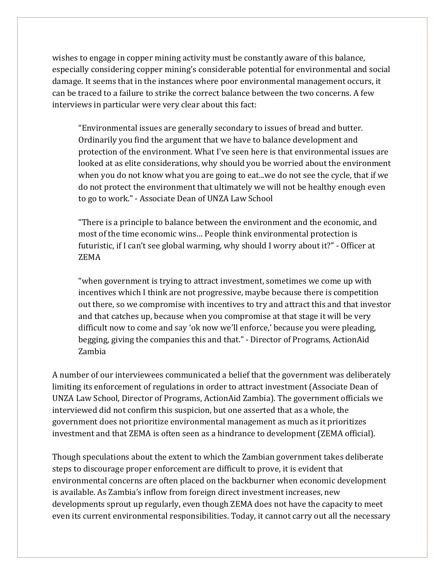wishes to engage in copper mining activity must be constantly aware of this balance, especially considering copper mining's considerable potential for environmental and social damage. It seems that in the instances where poor environmental management occurs, it can be traced to a failure to strike the correct balance between the two concerns. A few interviews in particular were very clear about this fact:

"Environmental issues are generally secondary to issues of bread and butter. Ordinarily you find the argument that we have to balance development and protection of the environment. What I've seen here is that environmental issues are looked at as elite considerations, why should you be worried about the environment when you do not know what you are going to eat...we do not see the cycle, that if we do not protect the environment that ultimately we will not be healthy enough even to go to work." - Associate Dean of UNZA Law School

"There is a principle to balance between the environment and the economic, and most of the time economic wins… People think environmental protection is futuristic, if I can't see global warming, why should I worry about it?" - Officer at ZEMA

"when government is trying to attract investment, sometimes we come up with incentives which I think are not progressive, maybe because there is competition out there, so we compromise with incentives to try and attract this and that investor and that catches up, because when you compromise at that stage it will be very difficult now to come and say 'ok now we'll enforce,' because you were pleading, begging, giving the companies this and that." - Director of Programs, ActionAid Zambia

A number of our interviewees communicated a belief that the government was deliberately limiting its enforcement of regulations in order to attract investment (Associate Dean of UNZA Law School, Director of Programs, ActionAid Zambia). The government officials we interviewed did not confirm this suspicion, but one asserted that as a whole, the government does not prioritize environmental management as much as it prioritizes investment and that ZEMA is often seen as a hindrance to development (ZEMA official).

Though speculations about the extent to which the Zambian government takes deliberate steps to discourage proper enforcement are difficult to prove, it is evident that environmental concerns are often placed on the backburner when economic development is available. As Zambia's inflow from foreign direct investment increases, new developments sprout up regularly, even though ZEMA does not have the capacity to meet even its current environmental responsibilities. Today, it cannot carry out all the necessary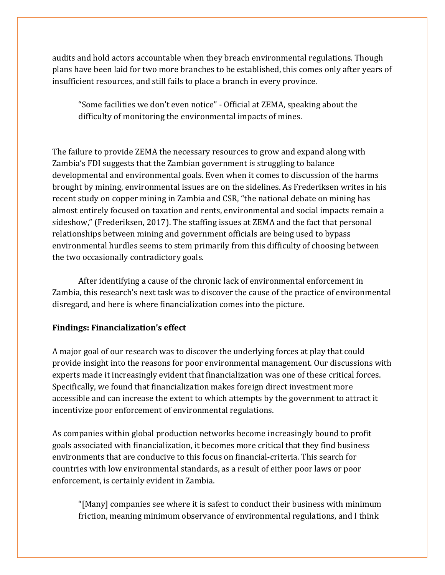audits and hold actors accountable when they breach environmental regulations. Though plans have been laid for two more branches to be established, this comes only after years of insufficient resources, and still fails to place a branch in every province.

"Some facilities we don't even notice" - Official at ZEMA, speaking about the difficulty of monitoring the environmental impacts of mines.

The failure to provide ZEMA the necessary resources to grow and expand along with Zambia's FDI suggests that the Zambian government is struggling to balance developmental and environmental goals. Even when it comes to discussion of the harms brought by mining, environmental issues are on the sidelines. As Frederiksen writes in his recent study on copper mining in Zambia and CSR, "the national debate on mining has almost entirely focused on taxation and rents, environmental and social impacts remain a sideshow," (Frederiksen, 2017). The staffing issues at ZEMA and the fact that personal relationships between mining and government officials are being used to bypass environmental hurdles seems to stem primarily from this difficulty of choosing between the two occasionally contradictory goals.

After identifying a cause of the chronic lack of environmental enforcement in Zambia, this research's next task was to discover the cause of the practice of environmental disregard, and here is where financialization comes into the picture.

# **Findings: Financialization's effect**

A major goal of our research was to discover the underlying forces at play that could provide insight into the reasons for poor environmental management. Our discussions with experts made it increasingly evident that financialization was one of these critical forces. Specifically, we found that financialization makes foreign direct investment more accessible and can increase the extent to which attempts by the government to attract it incentivize poor enforcement of environmental regulations.

As companies within global production networks become increasingly bound to profit goals associated with financialization, it becomes more critical that they find business environments that are conducive to this focus on financial-criteria. This search for countries with low environmental standards, as a result of either poor laws or poor enforcement, is certainly evident in Zambia.

"[Many] companies see where it is safest to conduct their business with minimum friction, meaning minimum observance of environmental regulations, and I think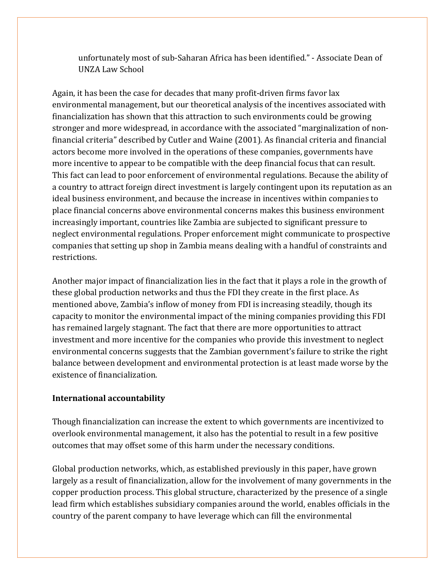unfortunately most of sub-Saharan Africa has been identified." - Associate Dean of UNZA Law School

Again, it has been the case for decades that many profit-driven firms favor lax environmental management, but our theoretical analysis of the incentives associated with financialization has shown that this attraction to such environments could be growing stronger and more widespread, in accordance with the associated "marginalization of nonfinancial criteria" described by Cutler and Waine (2001). As financial criteria and financial actors become more involved in the operations of these companies, governments have more incentive to appear to be compatible with the deep financial focus that can result. This fact can lead to poor enforcement of environmental regulations. Because the ability of a country to attract foreign direct investment is largely contingent upon its reputation as an ideal business environment, and because the increase in incentives within companies to place financial concerns above environmental concerns makes this business environment increasingly important, countries like Zambia are subjected to significant pressure to neglect environmental regulations. Proper enforcement might communicate to prospective companies that setting up shop in Zambia means dealing with a handful of constraints and restrictions.

Another major impact of financialization lies in the fact that it plays a role in the growth of these global production networks and thus the FDI they create in the first place. As mentioned above, Zambia's inflow of money from FDI is increasing steadily, though its capacity to monitor the environmental impact of the mining companies providing this FDI has remained largely stagnant. The fact that there are more opportunities to attract investment and more incentive for the companies who provide this investment to neglect environmental concerns suggests that the Zambian government's failure to strike the right balance between development and environmental protection is at least made worse by the existence of financialization.

#### **International accountability**

Though financialization can increase the extent to which governments are incentivized to overlook environmental management, it also has the potential to result in a few positive outcomes that may offset some of this harm under the necessary conditions.

Global production networks, which, as established previously in this paper, have grown largely as a result of financialization, allow for the involvement of many governments in the copper production process. This global structure, characterized by the presence of a single lead firm which establishes subsidiary companies around the world, enables officials in the country of the parent company to have leverage which can fill the environmental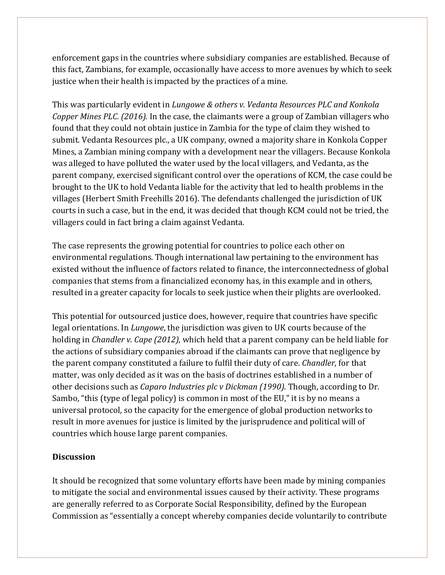enforcement gaps in the countries where subsidiary companies are established. Because of this fact, Zambians, for example, occasionally have access to more avenues by which to seek justice when their health is impacted by the practices of a mine.

This was particularly evident in *Lungowe & others v. Vedanta Resources PLC and Konkola Copper Mines PLC. (2016).* In the case, the claimants were a group of Zambian villagers who found that they could not obtain justice in Zambia for the type of claim they wished to submit. Vedanta Resources plc., a UK company, owned a majority share in Konkola Copper Mines, a Zambian mining company with a development near the villagers. Because Konkola was alleged to have polluted the water used by the local villagers, and Vedanta, as the parent company, exercised significant control over the operations of KCM, the case could be brought to the UK to hold Vedanta liable for the activity that led to health problems in the villages (Herbert Smith Freehills 2016). The defendants challenged the jurisdiction of UK courts in such a case, but in the end, it was decided that though KCM could not be tried, the villagers could in fact bring a claim against Vedanta.

The case represents the growing potential for countries to police each other on environmental regulations. Though international law pertaining to the environment has existed without the influence of factors related to finance, the interconnectedness of global companies that stems from a financialized economy has, in this example and in others, resulted in a greater capacity for locals to seek justice when their plights are overlooked.

This potential for outsourced justice does, however, require that countries have specific legal orientations. In *Lungowe*, the jurisdiction was given to UK courts because of the holding in *Chandler v. Cape (2012),* which held that a parent company can be held liable for the actions of subsidiary companies abroad if the claimants can prove that negligence by the parent company constituted a failure to fulfil their duty of care. *Chandler*, for that matter, was only decided as it was on the basis of doctrines established in a number of other decisions such as *Caparo Industries plc v Dickman (1990).* Though, according to Dr. Sambo, "this (type of legal policy) is common in most of the EU," it is by no means a universal protocol, so the capacity for the emergence of global production networks to result in more avenues for justice is limited by the jurisprudence and political will of countries which house large parent companies.

# **Discussion**

It should be recognized that some voluntary efforts have been made by mining companies to mitigate the social and environmental issues caused by their activity. These programs are generally referred to as Corporate Social Responsibility, defined by the European Commission as "essentially a concept whereby companies decide voluntarily to contribute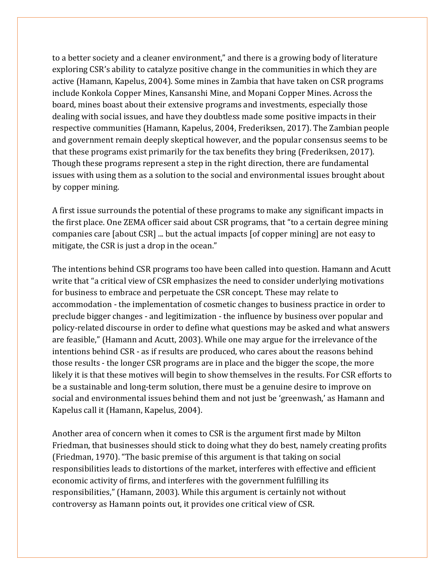to a better society and a cleaner environment," and there is a growing body of literature exploring CSR's ability to catalyze positive change in the communities in which they are active (Hamann, Kapelus, 2004). Some mines in Zambia that have taken on CSR programs include Konkola Copper Mines, Kansanshi Mine, and Mopani Copper Mines. Across the board, mines boast about their extensive programs and investments, especially those dealing with social issues, and have they doubtless made some positive impacts in their respective communities (Hamann, Kapelus, 2004, Frederiksen, 2017). The Zambian people and government remain deeply skeptical however, and the popular consensus seems to be that these programs exist primarily for the tax benefits they bring (Frederiksen, 2017). Though these programs represent a step in the right direction, there are fundamental issues with using them as a solution to the social and environmental issues brought about by copper mining.

A first issue surrounds the potential of these programs to make any significant impacts in the first place. One ZEMA officer said about CSR programs, that "to a certain degree mining companies care [about CSR] ... but the actual impacts [of copper mining] are not easy to mitigate, the CSR is just a drop in the ocean."

The intentions behind CSR programs too have been called into question. Hamann and Acutt write that "a critical view of CSR emphasizes the need to consider underlying motivations for business to embrace and perpetuate the CSR concept. These may relate to accommodation - the implementation of cosmetic changes to business practice in order to preclude bigger changes - and legitimization - the influence by business over popular and policy-related discourse in order to define what questions may be asked and what answers are feasible," (Hamann and Acutt, 2003). While one may argue for the irrelevance of the intentions behind CSR - as if results are produced, who cares about the reasons behind those results - the longer CSR programs are in place and the bigger the scope, the more likely it is that these motives will begin to show themselves in the results. For CSR efforts to be a sustainable and long-term solution, there must be a genuine desire to improve on social and environmental issues behind them and not just be 'greenwash,' as Hamann and Kapelus call it (Hamann, Kapelus, 2004).

Another area of concern when it comes to CSR is the argument first made by Milton Friedman, that businesses should stick to doing what they do best, namely creating profits (Friedman, 1970). "The basic premise of this argument is that taking on social responsibilities leads to distortions of the market, interferes with effective and efficient economic activity of firms, and interferes with the government fulfilling its responsibilities," (Hamann, 2003). While this argument is certainly not without controversy as Hamann points out, it provides one critical view of CSR.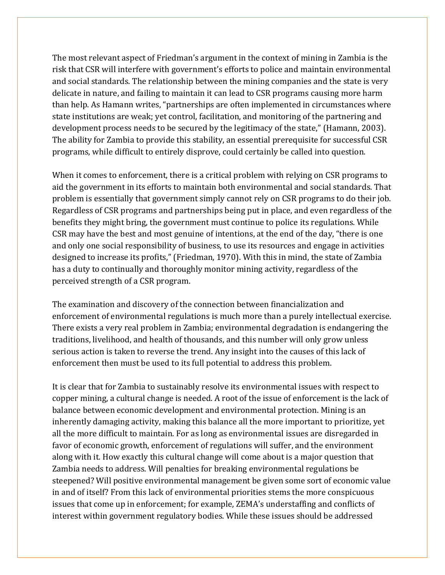The most relevant aspect of Friedman's argument in the context of mining in Zambia is the risk that CSR will interfere with government's efforts to police and maintain environmental and social standards. The relationship between the mining companies and the state is very delicate in nature, and failing to maintain it can lead to CSR programs causing more harm than help. As Hamann writes, "partnerships are often implemented in circumstances where state institutions are weak; yet control, facilitation, and monitoring of the partnering and development process needs to be secured by the legitimacy of the state," (Hamann, 2003). The ability for Zambia to provide this stability, an essential prerequisite for successful CSR programs, while difficult to entirely disprove, could certainly be called into question.

When it comes to enforcement, there is a critical problem with relying on CSR programs to aid the government in its efforts to maintain both environmental and social standards. That problem is essentially that government simply cannot rely on CSR programs to do their job. Regardless of CSR programs and partnerships being put in place, and even regardless of the benefits they might bring, the government must continue to police its regulations. While CSR may have the best and most genuine of intentions, at the end of the day, "there is one and only one social responsibility of business, to use its resources and engage in activities designed to increase its profits," (Friedman, 1970). With this in mind, the state of Zambia has a duty to continually and thoroughly monitor mining activity, regardless of the perceived strength of a CSR program.

The examination and discovery of the connection between financialization and enforcement of environmental regulations is much more than a purely intellectual exercise. There exists a very real problem in Zambia; environmental degradation is endangering the traditions, livelihood, and health of thousands, and this number will only grow unless serious action is taken to reverse the trend. Any insight into the causes of this lack of enforcement then must be used to its full potential to address this problem.

It is clear that for Zambia to sustainably resolve its environmental issues with respect to copper mining, a cultural change is needed. A root of the issue of enforcement is the lack of balance between economic development and environmental protection. Mining is an inherently damaging activity, making this balance all the more important to prioritize, yet all the more difficult to maintain. For as long as environmental issues are disregarded in favor of economic growth, enforcement of regulations will suffer, and the environment along with it. How exactly this cultural change will come about is a major question that Zambia needs to address. Will penalties for breaking environmental regulations be steepened? Will positive environmental management be given some sort of economic value in and of itself? From this lack of environmental priorities stems the more conspicuous issues that come up in enforcement; for example, ZEMA's understaffing and conflicts of interest within government regulatory bodies. While these issues should be addressed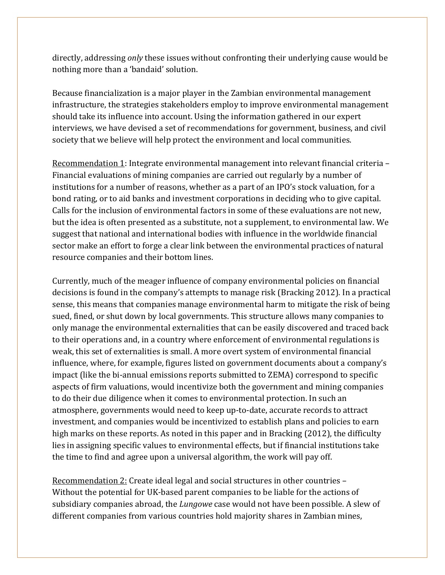directly, addressing *only* these issues without confronting their underlying cause would be nothing more than a 'bandaid' solution.

Because financialization is a major player in the Zambian environmental management infrastructure, the strategies stakeholders employ to improve environmental management should take its influence into account. Using the information gathered in our expert interviews, we have devised a set of recommendations for government, business, and civil society that we believe will help protect the environment and local communities.

Recommendation 1: Integrate environmental management into relevant financial criteria – Financial evaluations of mining companies are carried out regularly by a number of institutions for a number of reasons, whether as a part of an IPO's stock valuation, for a bond rating, or to aid banks and investment corporations in deciding who to give capital. Calls for the inclusion of environmental factors in some of these evaluations are not new, but the idea is often presented as a substitute, not a supplement, to environmental law. We suggest that national and international bodies with influence in the worldwide financial sector make an effort to forge a clear link between the environmental practices of natural resource companies and their bottom lines.

Currently, much of the meager influence of company environmental policies on financial decisions is found in the company's attempts to manage risk (Bracking 2012). In a practical sense, this means that companies manage environmental harm to mitigate the risk of being sued, fined, or shut down by local governments. This structure allows many companies to only manage the environmental externalities that can be easily discovered and traced back to their operations and, in a country where enforcement of environmental regulations is weak, this set of externalities is small. A more overt system of environmental financial influence, where, for example, figures listed on government documents about a company's impact (like the bi-annual emissions reports submitted to ZEMA) correspond to specific aspects of firm valuations, would incentivize both the government and mining companies to do their due diligence when it comes to environmental protection. In such an atmosphere, governments would need to keep up-to-date, accurate records to attract investment, and companies would be incentivized to establish plans and policies to earn high marks on these reports. As noted in this paper and in Bracking (2012), the difficulty lies in assigning specific values to environmental effects, but if financial institutions take the time to find and agree upon a universal algorithm, the work will pay off.

Recommendation 2: Create ideal legal and social structures in other countries – Without the potential for UK-based parent companies to be liable for the actions of subsidiary companies abroad, the *Lungowe* case would not have been possible. A slew of different companies from various countries hold majority shares in Zambian mines,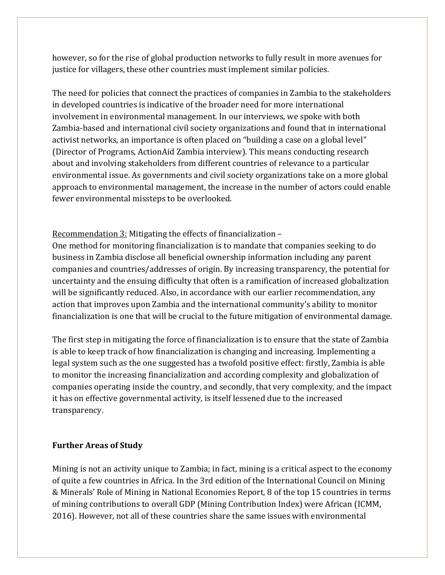however, so for the rise of global production networks to fully result in more avenues for justice for villagers, these other countries must implement similar policies.

The need for policies that connect the practices of companies in Zambia to the stakeholders in developed countries is indicative of the broader need for more international involvement in environmental management. In our interviews, we spoke with both Zambia-based and international civil society organizations and found that in international activist networks, an importance is often placed on "building a case on a global level" (Director of Programs, ActionAid Zambia interview). This means conducting research about and involving stakeholders from different countries of relevance to a particular environmental issue. As governments and civil society organizations take on a more global approach to environmental management, the increase in the number of actors could enable fewer environmental missteps to be overlooked.

Recommendation 3: Mitigating the effects of financialization –

One method for monitoring financialization is to mandate that companies seeking to do business in Zambia disclose all beneficial ownership information including any parent companies and countries/addresses of origin. By increasing transparency, the potential for uncertainty and the ensuing difficulty that often is a ramification of increased globalization will be significantly reduced. Also, in accordance with our earlier recommendation, any action that improves upon Zambia and the international community's ability to monitor financialization is one that will be crucial to the future mitigation of environmental damage.

The first step in mitigating the force of financialization is to ensure that the state of Zambia is able to keep track of how financialization is changing and increasing. Implementing a legal system such as the one suggested has a twofold positive effect: firstly, Zambia is able to monitor the increasing financialization and according complexity and globalization of companies operating inside the country, and secondly, that very complexity, and the impact it has on effective governmental activity, is itself lessened due to the increased transparency.

# **Further Areas of Study**

Mining is not an activity unique to Zambia; in fact, mining is a critical aspect to the economy of quite a few countries in Africa. In the 3rd edition of the International Council on Mining & Minerals' Role of Mining in National Economies Report, 8 of the top 15 countries in terms of mining contributions to overall GDP (Mining Contribution Index) were African (ICMM, 2016). However, not all of these countries share the same issues with environmental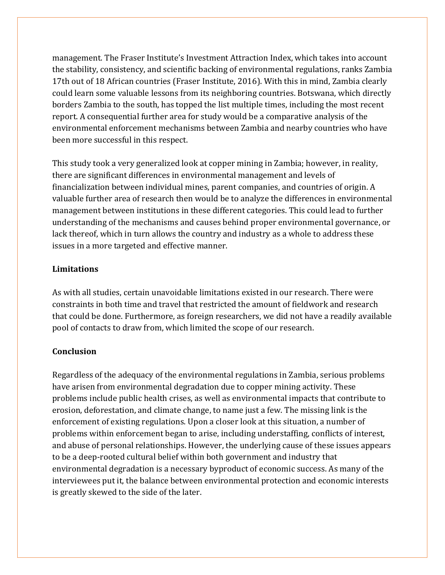management. The Fraser Institute's Investment Attraction Index, which takes into account the stability, consistency, and scientific backing of environmental regulations, ranks Zambia 17th out of 18 African countries (Fraser Institute, 2016). With this in mind, Zambia clearly could learn some valuable lessons from its neighboring countries. Botswana, which directly borders Zambia to the south, has topped the list multiple times, including the most recent report. A consequential further area for study would be a comparative analysis of the environmental enforcement mechanisms between Zambia and nearby countries who have been more successful in this respect.

This study took a very generalized look at copper mining in Zambia; however, in reality, there are significant differences in environmental management and levels of financialization between individual mines, parent companies, and countries of origin. A valuable further area of research then would be to analyze the differences in environmental management between institutions in these different categories. This could lead to further understanding of the mechanisms and causes behind proper environmental governance, or lack thereof, which in turn allows the country and industry as a whole to address these issues in a more targeted and effective manner.

# **Limitations**

As with all studies, certain unavoidable limitations existed in our research. There were constraints in both time and travel that restricted the amount of fieldwork and research that could be done. Furthermore, as foreign researchers, we did not have a readily available pool of contacts to draw from, which limited the scope of our research.

# **Conclusion**

Regardless of the adequacy of the environmental regulations in Zambia, serious problems have arisen from environmental degradation due to copper mining activity. These problems include public health crises, as well as environmental impacts that contribute to erosion, deforestation, and climate change, to name just a few. The missing link is the enforcement of existing regulations. Upon a closer look at this situation, a number of problems within enforcement began to arise, including understaffing, conflicts of interest, and abuse of personal relationships. However, the underlying cause of these issues appears to be a deep-rooted cultural belief within both government and industry that environmental degradation is a necessary byproduct of economic success. As many of the interviewees put it, the balance between environmental protection and economic interests is greatly skewed to the side of the later.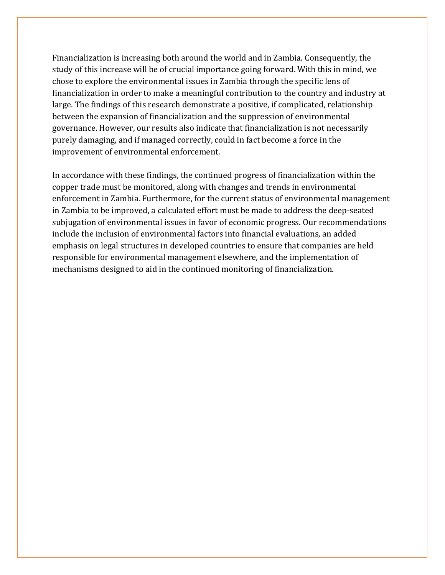Financialization is increasing both around the world and in Zambia. Consequently, the study of this increase will be of crucial importance going forward. With this in mind, we chose to explore the environmental issues in Zambia through the specific lens of financialization in order to make a meaningful contribution to the country and industry at large. The findings of this research demonstrate a positive, if complicated, relationship between the expansion of financialization and the suppression of environmental governance. However, our results also indicate that financialization is not necessarily purely damaging, and if managed correctly, could in fact become a force in the improvement of environmental enforcement.

In accordance with these findings, the continued progress of financialization within the copper trade must be monitored, along with changes and trends in environmental enforcement in Zambia. Furthermore, for the current status of environmental management in Zambia to be improved, a calculated effort must be made to address the deep-seated subjugation of environmental issues in favor of economic progress. Our recommendations include the inclusion of environmental factors into financial evaluations, an added emphasis on legal structures in developed countries to ensure that companies are held responsible for environmental management elsewhere, and the implementation of mechanisms designed to aid in the continued monitoring of financialization.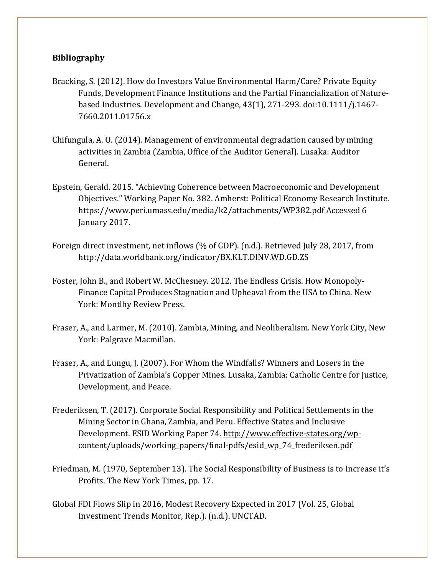#### **Bibliography**

- Bracking, S. (2012). How do Investors Value Environmental Harm/Care? Private Equity Funds, Development Finance Institutions and the Partial Financialization of Naturebased Industries. Development and Change, 43(1), 271-293. doi:10.1111/j.1467- 7660.2011.01756.x
- Chifungula, A. O. (2014). Management of environmental degradation caused by mining activities in Zambia (Zambia, Office of the Auditor General). Lusaka: Auditor General.
- Epstein, Gerald. 2015. "Achieving Coherence between Macroeconomic and Development Objectives." Working Paper No. 382. Amherst: Political Economy Research Institute. https://www.peri.umass.edu/media/k2/attachments/WP382.pdf Accessed 6 January 2017.
- Foreign direct investment, net inflows (% of GDP). (n.d.). Retrieved July 28, 2017, from http://data.worldbank.org/indicator/BX.KLT.DINV.WD.GD.ZS
- Foster, John B., and Robert W. McChesney. 2012. The Endless Crisis. How Monopoly-Finance Capital Produces Stagnation and Upheaval from the USA to China. New York: Montlhy Review Press.
- Fraser, A., and Larmer, M. (2010). Zambia, Mining, and Neoliberalism. New York City, New York: Palgrave Macmillan.
- Fraser, A., and Lungu, J. (2007). For Whom the Windfalls? Winners and Losers in the Privatization of Zambia's Copper Mines. Lusaka, Zambia: Catholic Centre for Justice, Development, and Peace.
- Frederiksen, T. (2017). Corporate Social Responsibility and Political Settlements in the Mining Sector in Ghana, Zambia, and Peru. Effective States and Inclusive Development. ESID Working Paper 74. [http://www.effective-states.org/wp](http://www.effective-states.org/wp-content/uploads/working_papers/final-pdfs/esid_wp_74_frederiksen.pdf)[content/uploads/working\\_papers/final-pdfs/esid\\_wp\\_74\\_frederiksen.pdf](http://www.effective-states.org/wp-content/uploads/working_papers/final-pdfs/esid_wp_74_frederiksen.pdf)
- Friedman, M. (1970, September 13). The Social Responsibility of Business is to Increase it's Profits. The New York Times, pp. 17.
- Global FDI Flows Slip in 2016, Modest Recovery Expected in 2017 (Vol. 25, Global Investment Trends Monitor, Rep.). (n.d.). UNCTAD.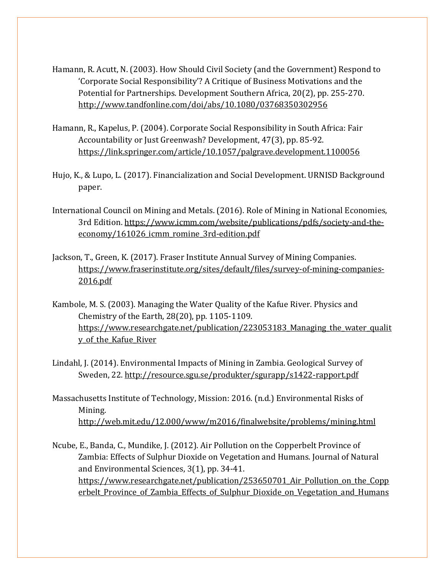- Hamann, R. Acutt, N. (2003). How Should Civil Society (and the Government) Respond to 'Corporate Social Responsibility'? A Critique of Business Motivations and the Potential for Partnerships. Development Southern Africa, 20(2), pp. 255-270. <http://www.tandfonline.com/doi/abs/10.1080/03768350302956>
- Hamann, R., Kapelus, P. (2004). Corporate Social Responsibility in South Africa: Fair Accountability or Just Greenwash? Development, 47(3), pp. 85-92. <https://link.springer.com/article/10.1057/palgrave.development.1100056>
- Hujo, K., & Lupo, L. (2017). Financialization and Social Development. URNISD Background paper.
- International Council on Mining and Metals. (2016). Role of Mining in National Economies, 3rd Edition. [https://www.icmm.com/website/publications/pdfs/society-and-the](https://www.icmm.com/website/publications/pdfs/society-and-the-economy/161026_icmm_romine_3rd-edition.pdf)[economy/161026\\_icmm\\_romine\\_3rd-edition.pdf](https://www.icmm.com/website/publications/pdfs/society-and-the-economy/161026_icmm_romine_3rd-edition.pdf)
- Jackson, T., Green, K. (2017). Fraser Institute Annual Survey of Mining Companies. [https://www.fraserinstitute.org/sites/default/files/survey-of-mining-companies-](https://www.fraserinstitute.org/sites/default/files/survey-of-mining-companies-2016.pdf)[2016.pdf](https://www.fraserinstitute.org/sites/default/files/survey-of-mining-companies-2016.pdf)
- Kambole, M. S. (2003). Managing the Water Quality of the Kafue River. Physics and Chemistry of the Earth, 28(20), pp. 1105-1109. https://www.researchgate.net/publication/223053183 Managing the water qualit y of the Kafue River
- Lindahl, J. (2014). Environmental Impacts of Mining in Zambia. Geological Survey of Sweden, 22.<http://resource.sgu.se/produkter/sgurapp/s1422-rapport.pdf>
- Massachusetts Institute of Technology, Mission: 2016. (n.d.) Environmental Risks of Mining. <http://web.mit.edu/12.000/www/m2016/finalwebsite/problems/mining.html>
- Ncube, E., Banda, C., Mundike, J. (2012). Air Pollution on the Copperbelt Province of Zambia: Effects of Sulphur Dioxide on Vegetation and Humans. Journal of Natural and Environmental Sciences, 3(1), pp. 34-41. https://www.researchgate.net/publication/253650701 Air Pollution on the Copp erbelt Province of Zambia Effects of Sulphur Dioxide on Vegetation and Humans